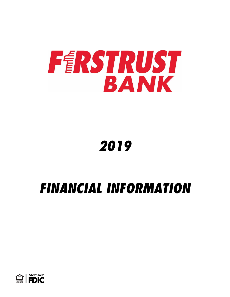

## *2019*

# *FINANCIAL INFORMATION*

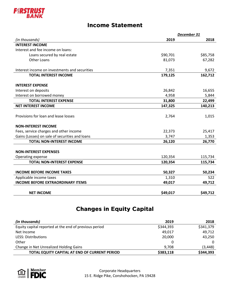

#### **Income Statement**

|                                                | December 31 |          |
|------------------------------------------------|-------------|----------|
| (in thousands)                                 | 2019        | 2018     |
| <b>INTEREST INCOME</b>                         |             |          |
| Interest and fee income on loans:              |             |          |
| Loans secured by real estate                   | \$90,701    | \$85,758 |
| <b>Other Loans</b>                             | 81,073      | 67,282   |
|                                                |             |          |
| Interest income on investments and securities  | 7,351       | 9,672    |
| <b>TOTAL INTEREST INCOME</b>                   | 179,125     | 162,712  |
|                                                |             |          |
| <b>INTEREST EXPENSE</b>                        |             |          |
| Interest on deposits                           | 26,842      | 16,655   |
| Interest on borrowed money                     | 4,958       | 5,844    |
| <b>TOTAL INTEREST EXPENSE</b>                  | 31,800      | 22,499   |
| <b>NET INTEREST INCOME</b>                     | 147,325     | 140,213  |
|                                                |             |          |
| Provisions for loan and lease losses           | 2,764       | 1,015    |
|                                                |             |          |
| <b>NON-INTEREST INCOME</b>                     |             |          |
| Fees, service charges and other income         | 22,373      | 25,417   |
| Gains (Losses) on sale of securities and loans | 3,747       | 1,353    |
| <b>TOTAL NON-INTEREST INCOME</b>               | 26,120      | 26,770   |
|                                                |             |          |
| <b>NON-INTEREST EXPENSES</b>                   |             |          |
| Operating expense                              | 120,354     | 115,734  |
| <b>TOTAL NON-INTEREST EXPENSE</b>              | 120,354     | 115,734  |
|                                                |             |          |
| <b>INCOME BEFORE INCOME TAXES</b>              | 50,327      | 50,234   |
| Applicable income taxes                        | 1,310       | 522      |
| <b>INCOME BEFORE EXTRAORDINARY ITEMS</b>       | 49,017      | 49,712   |
|                                                |             |          |
| <b>NET INCOME</b>                              | \$49,017    | \$49,712 |

### **Changes in Equity Capital**

| (in thousands)                                        | 2019      | 2018      |
|-------------------------------------------------------|-----------|-----------|
| Equity capital reported at the end of previous period | \$344,393 | \$341,379 |
| Net Income                                            | 49,017    | 49,712    |
| <b>LESS: Distributions</b>                            | 20,000    | 43,250    |
| Other                                                 |           |           |
| Change in Net Unrealized Holding Gains                | 9.708     | (3, 448)  |
| TOTAL EQUITY CAPITAL AT END OF CURRENT PERIOD         | \$383,118 | \$344,393 |



Corporate Headquarters 15 E. Ridge Pike, Conshohocken, PA 19428